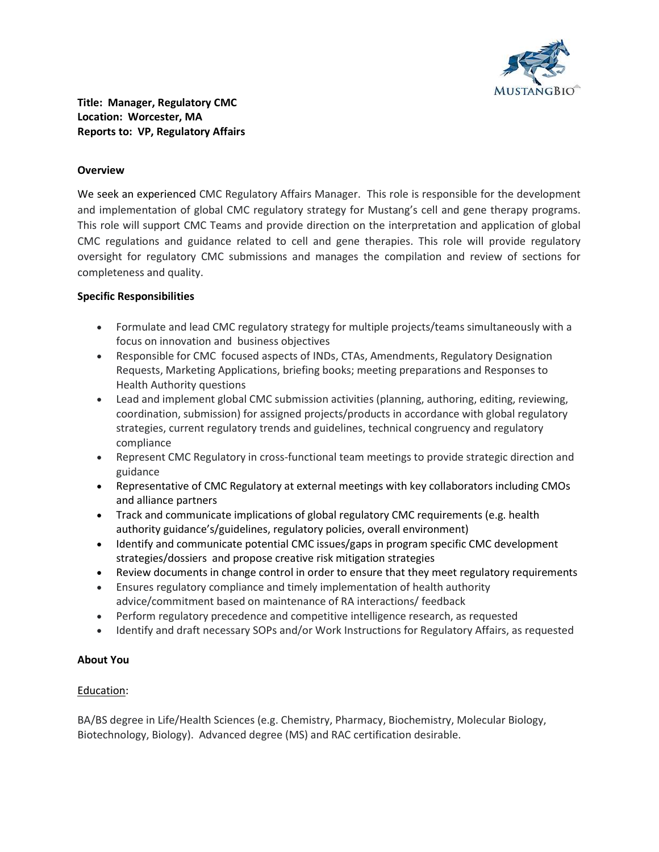

## Title: Manager, Regulatory CMC Location: Worcester, MA Reports to: VP, Regulatory Affairs

#### **Overview**

We seek an experienced CMC Regulatory Affairs Manager. This role is responsible for the development and implementation of global CMC regulatory strategy for Mustang's cell and gene therapy programs. This role will support CMC Teams and provide direction on the interpretation and application of global CMC regulations and guidance related to cell and gene therapies. This role will provide regulatory oversight for regulatory CMC submissions and manages the compilation and review of sections for completeness and quality.

## Specific Responsibilities

- Formulate and lead CMC regulatory strategy for multiple projects/teams simultaneously with a focus on innovation and business objectives
- Responsible for CMC focused aspects of INDs, CTAs, Amendments, Regulatory Designation Requests, Marketing Applications, briefing books; meeting preparations and Responses to Health Authority questions
- Lead and implement global CMC submission activities (planning, authoring, editing, reviewing, coordination, submission) for assigned projects/products in accordance with global regulatory strategies, current regulatory trends and guidelines, technical congruency and regulatory compliance
- Represent CMC Regulatory in cross-functional team meetings to provide strategic direction and guidance
- Representative of CMC Regulatory at external meetings with key collaborators including CMOs and alliance partners
- Track and communicate implications of global regulatory CMC requirements (e.g. health authority guidance's/guidelines, regulatory policies, overall environment)
- Identify and communicate potential CMC issues/gaps in program specific CMC development strategies/dossiers and propose creative risk mitigation strategies
- Review documents in change control in order to ensure that they meet regulatory requirements
- Ensures regulatory compliance and timely implementation of health authority advice/commitment based on maintenance of RA interactions/ feedback
- Perform regulatory precedence and competitive intelligence research, as requested
- Identify and draft necessary SOPs and/or Work Instructions for Regulatory Affairs, as requested

#### About You

#### Education:

BA/BS degree in Life/Health Sciences (e.g. Chemistry, Pharmacy, Biochemistry, Molecular Biology, Biotechnology, Biology). Advanced degree (MS) and RAC certification desirable.